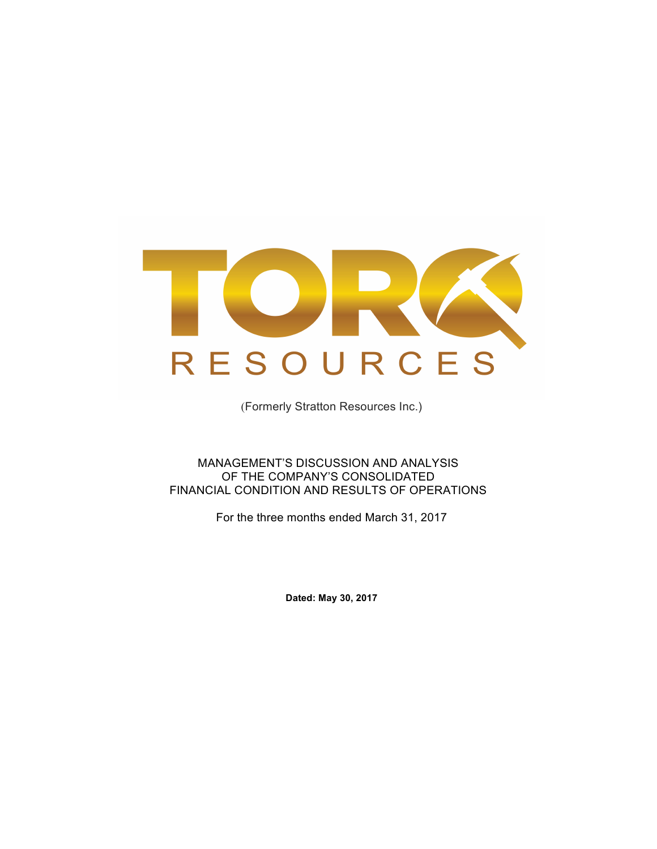

(Formerly Stratton Resources Inc.)

MANAGEMENT'S DISCUSSION AND ANALYSIS OF THE COMPANY'S CONSOLIDATED FINANCIAL CONDITION AND RESULTS OF OPERATIONS

For the three months ended March 31, 2017

**Dated: May 30, 2017**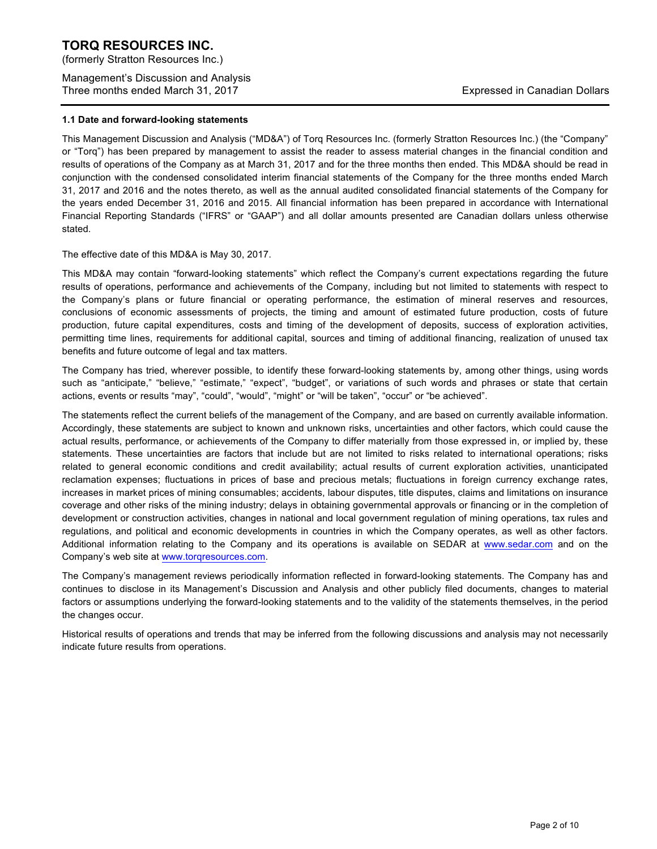(formerly Stratton Resources Inc.)

Management's Discussion and Analysis Three months ended March 31, 2017 **Expressed in Canadian Dollars** Expressed in Canadian Dollars

### **1.1 Date and forward-looking statements**

This Management Discussion and Analysis ("MD&A") of Torq Resources Inc. (formerly Stratton Resources Inc.) (the "Company" or "Torq") has been prepared by management to assist the reader to assess material changes in the financial condition and results of operations of the Company as at March 31, 2017 and for the three months then ended. This MD&A should be read in conjunction with the condensed consolidated interim financial statements of the Company for the three months ended March 31, 2017 and 2016 and the notes thereto, as well as the annual audited consolidated financial statements of the Company for the years ended December 31, 2016 and 2015. All financial information has been prepared in accordance with International Financial Reporting Standards ("IFRS" or "GAAP") and all dollar amounts presented are Canadian dollars unless otherwise stated.

The effective date of this MD&A is May 30, 2017.

This MD&A may contain "forward-looking statements" which reflect the Company's current expectations regarding the future results of operations, performance and achievements of the Company, including but not limited to statements with respect to the Company's plans or future financial or operating performance, the estimation of mineral reserves and resources, conclusions of economic assessments of projects, the timing and amount of estimated future production, costs of future production, future capital expenditures, costs and timing of the development of deposits, success of exploration activities, permitting time lines, requirements for additional capital, sources and timing of additional financing, realization of unused tax benefits and future outcome of legal and tax matters.

The Company has tried, wherever possible, to identify these forward-looking statements by, among other things, using words such as "anticipate," "believe," "estimate," "expect", "budget", or variations of such words and phrases or state that certain actions, events or results "may", "could", "would", "might" or "will be taken", "occur" or "be achieved".

The statements reflect the current beliefs of the management of the Company, and are based on currently available information. Accordingly, these statements are subject to known and unknown risks, uncertainties and other factors, which could cause the actual results, performance, or achievements of the Company to differ materially from those expressed in, or implied by, these statements. These uncertainties are factors that include but are not limited to risks related to international operations; risks related to general economic conditions and credit availability; actual results of current exploration activities, unanticipated reclamation expenses; fluctuations in prices of base and precious metals; fluctuations in foreign currency exchange rates, increases in market prices of mining consumables; accidents, labour disputes, title disputes, claims and limitations on insurance coverage and other risks of the mining industry; delays in obtaining governmental approvals or financing or in the completion of development or construction activities, changes in national and local government regulation of mining operations, tax rules and regulations, and political and economic developments in countries in which the Company operates, as well as other factors. Additional information relating to the Company and its operations is available on SEDAR at www.sedar.com and on the Company's web site at www.torqresources.com.

The Company's management reviews periodically information reflected in forward-looking statements. The Company has and continues to disclose in its Management's Discussion and Analysis and other publicly filed documents, changes to material factors or assumptions underlying the forward-looking statements and to the validity of the statements themselves, in the period the changes occur.

Historical results of operations and trends that may be inferred from the following discussions and analysis may not necessarily indicate future results from operations.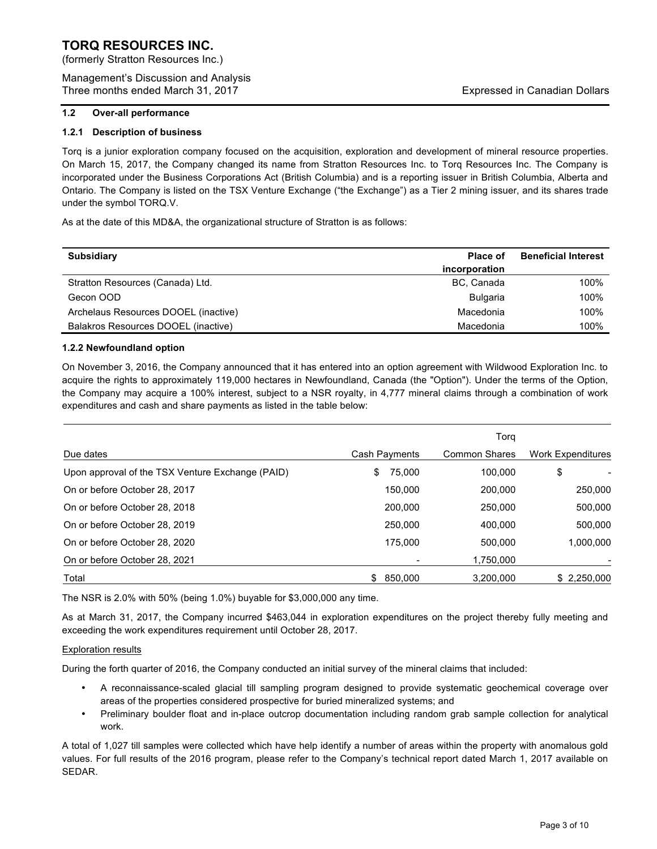(formerly Stratton Resources Inc.)

Management's Discussion and Analysis Three months ended March 31, 2017 **Expressed in Canadian Dollars** Expressed in Canadian Dollars

# **1.2 Over-all performance**

# **1.2.1 Description of business**

Torq is a junior exploration company focused on the acquisition, exploration and development of mineral resource properties. On March 15, 2017, the Company changed its name from Stratton Resources Inc. to Torq Resources Inc. The Company is incorporated under the Business Corporations Act (British Columbia) and is a reporting issuer in British Columbia, Alberta and Ontario. The Company is listed on the TSX Venture Exchange ("the Exchange") as a Tier 2 mining issuer, and its shares trade under the symbol TORQ.V.

As at the date of this MD&A, the organizational structure of Stratton is as follows:

| <b>Subsidiary</b>                    | Place of      | <b>Beneficial Interest</b> |
|--------------------------------------|---------------|----------------------------|
|                                      | incorporation |                            |
| Stratton Resources (Canada) Ltd.     | BC, Canada    | 100%                       |
| Gecon OOD                            | Bulgaria      | 100%                       |
| Archelaus Resources DOOEL (inactive) | Macedonia     | 100%                       |
| Balakros Resources DOOEL (inactive)  | Macedonia     | 100%                       |

# **1.2.2 Newfoundland option**

On November 3, 2016, the Company announced that it has entered into an option agreement with Wildwood Exploration Inc. to acquire the rights to approximately 119,000 hectares in Newfoundland, Canada (the "Option"). Under the terms of the Option, the Company may acquire a 100% interest, subject to a NSR royalty, in 4,777 mineral claims through a combination of work expenditures and cash and share payments as listed in the table below:

|                                                  |                | Torg                 |                          |
|--------------------------------------------------|----------------|----------------------|--------------------------|
| Due dates                                        | Cash Payments  | <b>Common Shares</b> | <b>Work Expenditures</b> |
| Upon approval of the TSX Venture Exchange (PAID) | 75,000<br>S    | 100.000              | \$                       |
| On or before October 28, 2017                    | 150,000        | 200,000              | 250,000                  |
| On or before October 28, 2018                    | 200.000        | 250,000              | 500,000                  |
| On or before October 28, 2019                    | 250,000        | 400.000              | 500,000                  |
| On or before October 28, 2020                    | 175.000        | 500.000              | 1,000,000                |
| On or before October 28, 2021                    |                | 1,750,000            |                          |
| Total                                            | 850.000<br>\$. | 3.200.000            | \$2,250,000              |

The NSR is 2.0% with 50% (being 1.0%) buyable for \$3,000,000 any time.

As at March 31, 2017, the Company incurred \$463,044 in exploration expenditures on the project thereby fully meeting and exceeding the work expenditures requirement until October 28, 2017.

# Exploration results

During the forth quarter of 2016, the Company conducted an initial survey of the mineral claims that included:

- A reconnaissance-scaled glacial till sampling program designed to provide systematic geochemical coverage over areas of the properties considered prospective for buried mineralized systems; and
- Preliminary boulder float and in-place outcrop documentation including random grab sample collection for analytical work.

A total of 1,027 till samples were collected which have help identify a number of areas within the property with anomalous gold values. For full results of the 2016 program, please refer to the Company's technical report dated March 1, 2017 available on SEDAR.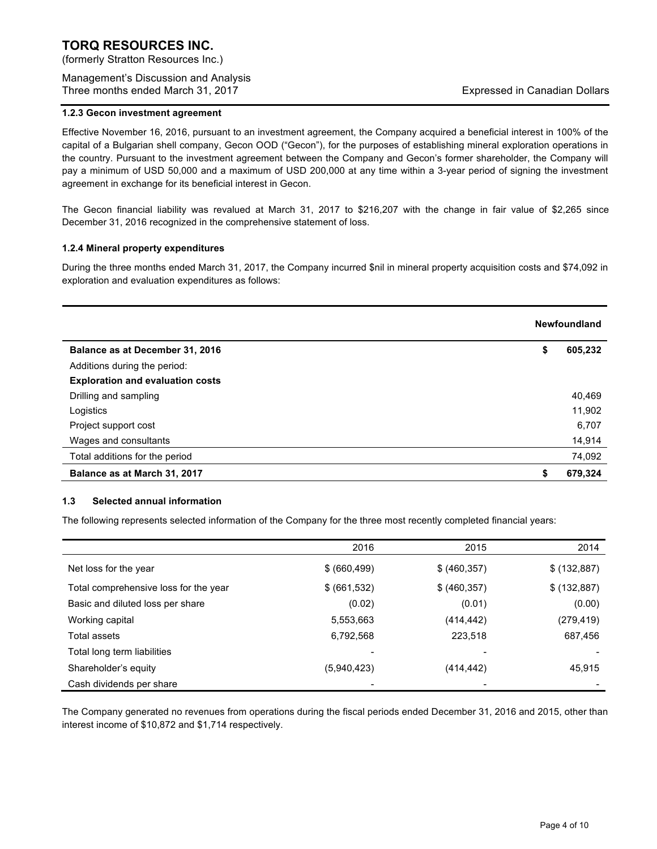(formerly Stratton Resources Inc.)

Management's Discussion and Analysis Three months ended March 31, 2017 **Expressed in Canadian Dollars** Expressed in Canadian Dollars

# **1.2.3 Gecon investment agreement**

Effective November 16, 2016, pursuant to an investment agreement, the Company acquired a beneficial interest in 100% of the capital of a Bulgarian shell company, Gecon OOD ("Gecon"), for the purposes of establishing mineral exploration operations in the country. Pursuant to the investment agreement between the Company and Gecon's former shareholder, the Company will pay a minimum of USD 50,000 and a maximum of USD 200,000 at any time within a 3-year period of signing the investment agreement in exchange for its beneficial interest in Gecon.

The Gecon financial liability was revalued at March 31, 2017 to \$216,207 with the change in fair value of \$2,265 since December 31, 2016 recognized in the comprehensive statement of loss.

# **1.2.4 Mineral property expenditures**

During the three months ended March 31, 2017, the Company incurred \$nil in mineral property acquisition costs and \$74,092 in exploration and evaluation expenditures as follows:

|                                         | Newfoundland  |
|-----------------------------------------|---------------|
| Balance as at December 31, 2016         | \$<br>605,232 |
| Additions during the period:            |               |
| <b>Exploration and evaluation costs</b> |               |
| Drilling and sampling                   | 40,469        |
| Logistics                               | 11,902        |
| Project support cost                    | 6,707         |
| Wages and consultants                   | 14,914        |
| Total additions for the period          | 74,092        |
| Balance as at March 31, 2017            | \$<br>679,324 |

# **1.3 Selected annual information**

The following represents selected information of the Company for the three most recently completed financial years:

|                                       | 2016          | 2015          | 2014         |
|---------------------------------------|---------------|---------------|--------------|
| Net loss for the year.                | \$ (660, 499) | \$ (460, 357) | \$ (132,887) |
| Total comprehensive loss for the year | \$ (661, 532) | \$ (460, 357) | \$ (132,887) |
| Basic and diluted loss per share      | (0.02)        | (0.01)        | (0.00)       |
| Working capital                       | 5,553,663     | (414, 442)    | (279,419)    |
| Total assets                          | 6,792,568     | 223,518       | 687,456      |
| Total long term liabilities           | -             |               |              |
| Shareholder's equity                  | (5,940,423)   | (414, 442)    | 45,915       |
| Cash dividends per share              | -             |               |              |

The Company generated no revenues from operations during the fiscal periods ended December 31, 2016 and 2015, other than interest income of \$10,872 and \$1,714 respectively.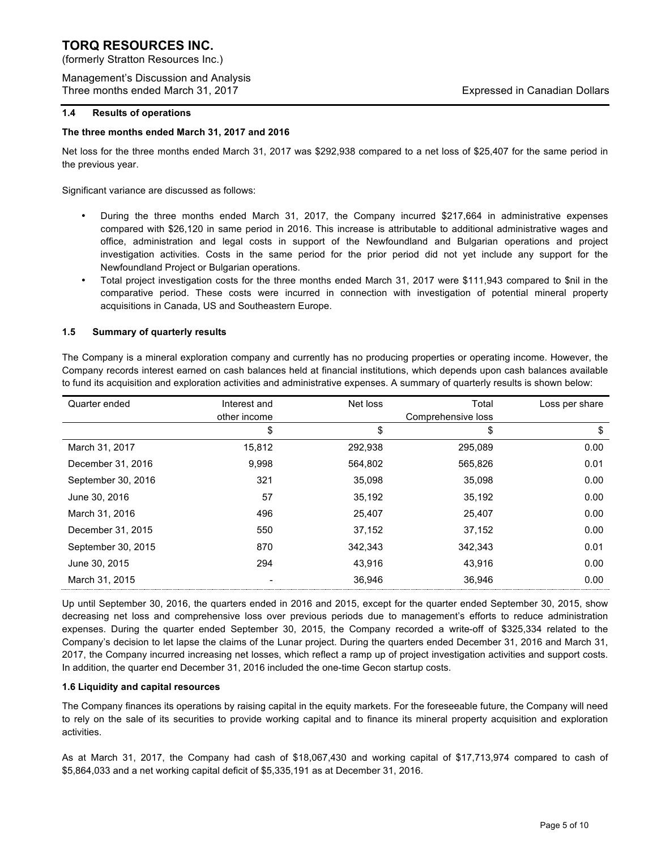(formerly Stratton Resources Inc.)

Management's Discussion and Analysis Three months ended March 31, 2017 **Expressed in Canadian Dollars** Expressed in Canadian Dollars

# **1.4 Results of operations**

### **The three months ended March 31, 2017 and 2016**

Net loss for the three months ended March 31, 2017 was \$292,938 compared to a net loss of \$25,407 for the same period in the previous year.

Significant variance are discussed as follows:

- During the three months ended March 31, 2017, the Company incurred \$217,664 in administrative expenses compared with \$26,120 in same period in 2016. This increase is attributable to additional administrative wages and office, administration and legal costs in support of the Newfoundland and Bulgarian operations and project investigation activities. Costs in the same period for the prior period did not yet include any support for the Newfoundland Project or Bulgarian operations.
- Total project investigation costs for the three months ended March 31, 2017 were \$111,943 compared to \$nil in the comparative period. These costs were incurred in connection with investigation of potential mineral property acquisitions in Canada, US and Southeastern Europe.

# **1.5 Summary of quarterly results**

The Company is a mineral exploration company and currently has no producing properties or operating income. However, the Company records interest earned on cash balances held at financial institutions, which depends upon cash balances available to fund its acquisition and exploration activities and administrative expenses. A summary of quarterly results is shown below:

| Quarter ended      | Interest and | Net loss | Total              | Loss per share |
|--------------------|--------------|----------|--------------------|----------------|
|                    | other income |          | Comprehensive loss |                |
|                    | \$           | \$       | \$                 | S              |
| March 31, 2017     | 15,812       | 292,938  | 295,089            | 0.00           |
| December 31, 2016  | 9,998        | 564,802  | 565,826            | 0.01           |
| September 30, 2016 | 321          | 35.098   | 35.098             | 0.00           |
| June 30, 2016      | 57           | 35,192   | 35,192             | 0.00           |
| March 31, 2016     | 496          | 25.407   | 25.407             | 0.00           |
| December 31, 2015  | 550          | 37,152   | 37.152             | 0.00           |
| September 30, 2015 | 870          | 342.343  | 342.343            | 0.01           |
| June 30, 2015      | 294          | 43,916   | 43,916             | 0.00           |
| March 31, 2015     |              | 36.946   | 36.946             | 0.00           |

Up until September 30, 2016, the quarters ended in 2016 and 2015, except for the quarter ended September 30, 2015, show decreasing net loss and comprehensive loss over previous periods due to management's efforts to reduce administration expenses. During the quarter ended September 30, 2015, the Company recorded a write-off of \$325,334 related to the Company's decision to let lapse the claims of the Lunar project. During the quarters ended December 31, 2016 and March 31, 2017, the Company incurred increasing net losses, which reflect a ramp up of project investigation activities and support costs. In addition, the quarter end December 31, 2016 included the one-time Gecon startup costs.

# **1.6 Liquidity and capital resources**

The Company finances its operations by raising capital in the equity markets. For the foreseeable future, the Company will need to rely on the sale of its securities to provide working capital and to finance its mineral property acquisition and exploration activities.

As at March 31, 2017, the Company had cash of \$18,067,430 and working capital of \$17,713,974 compared to cash of \$5,864,033 and a net working capital deficit of \$5,335,191 as at December 31, 2016.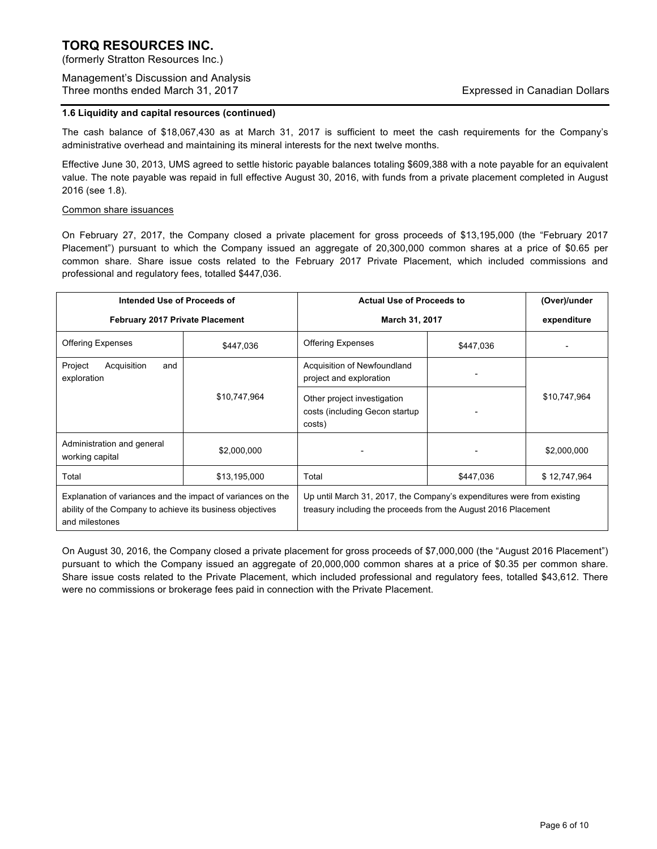(formerly Stratton Resources Inc.)

Management's Discussion and Analysis Three months ended March 31, 2017 **Expressed in Canadian Dollars** Expressed in Canadian Dollars

# **1.6 Liquidity and capital resources (continued)**

The cash balance of \$18,067,430 as at March 31, 2017 is sufficient to meet the cash requirements for the Company's administrative overhead and maintaining its mineral interests for the next twelve months.

Effective June 30, 2013, UMS agreed to settle historic payable balances totaling \$609,388 with a note payable for an equivalent value. The note payable was repaid in full effective August 30, 2016, with funds from a private placement completed in August 2016 (see 1.8).

# Common share issuances

On February 27, 2017, the Company closed a private placement for gross proceeds of \$13,195,000 (the "February 2017 Placement") pursuant to which the Company issued an aggregate of 20,300,000 common shares at a price of \$0.65 per common share. Share issue costs related to the February 2017 Private Placement, which included commissions and professional and regulatory fees, totalled \$447,036.

| Intended Use of Proceeds of                                                                                                                |              | <b>Actual Use of Proceeds to</b>                                                                                                         |           | (Over)/under |
|--------------------------------------------------------------------------------------------------------------------------------------------|--------------|------------------------------------------------------------------------------------------------------------------------------------------|-----------|--------------|
| <b>February 2017 Private Placement</b>                                                                                                     |              | March 31, 2017                                                                                                                           |           | expenditure  |
| <b>Offering Expenses</b>                                                                                                                   | \$447,036    | <b>Offering Expenses</b>                                                                                                                 | \$447,036 |              |
| Project<br>Acquisition<br>and<br>exploration                                                                                               |              | Acquisition of Newfoundland<br>project and exploration                                                                                   |           |              |
|                                                                                                                                            | \$10,747,964 | Other project investigation<br>costs (including Gecon startup<br>costs)                                                                  |           | \$10,747,964 |
| Administration and general<br>working capital                                                                                              | \$2,000,000  |                                                                                                                                          |           | \$2,000,000  |
| Total                                                                                                                                      | \$13,195,000 | Total                                                                                                                                    | \$447,036 | \$12,747,964 |
| Explanation of variances and the impact of variances on the<br>ability of the Company to achieve its business objectives<br>and milestones |              | Up until March 31, 2017, the Company's expenditures were from existing<br>treasury including the proceeds from the August 2016 Placement |           |              |

On August 30, 2016, the Company closed a private placement for gross proceeds of \$7,000,000 (the "August 2016 Placement") pursuant to which the Company issued an aggregate of 20,000,000 common shares at a price of \$0.35 per common share. Share issue costs related to the Private Placement, which included professional and regulatory fees, totalled \$43,612. There were no commissions or brokerage fees paid in connection with the Private Placement.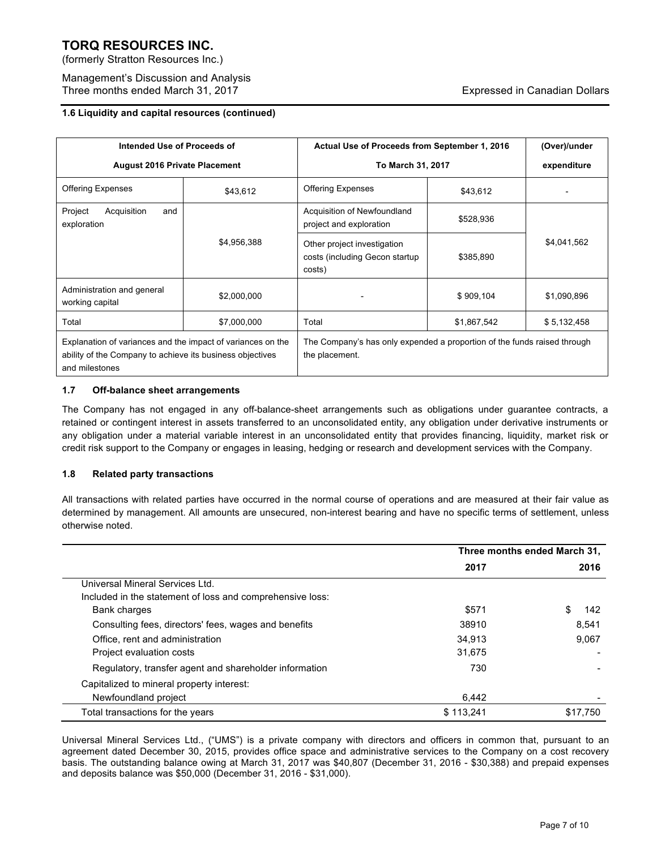(formerly Stratton Resources Inc.)

Management's Discussion and Analysis Three months ended March 31, 2017 **Expressed in Canadian Dollars** Expressed in Canadian Dollars

# **1.6 Liquidity and capital resources (continued)**

| Intended Use of Proceeds of                                                                                                                |             | Actual Use of Proceeds from September 1, 2016                                              |             | (Over)/under |
|--------------------------------------------------------------------------------------------------------------------------------------------|-------------|--------------------------------------------------------------------------------------------|-------------|--------------|
| <b>August 2016 Private Placement</b>                                                                                                       |             | To March 31, 2017                                                                          |             | expenditure  |
| <b>Offering Expenses</b>                                                                                                                   | \$43,612    | <b>Offering Expenses</b>                                                                   | \$43,612    |              |
| Project<br>Acquisition<br>and<br>exploration                                                                                               |             | Acquisition of Newfoundland<br>project and exploration                                     | \$528,936   |              |
|                                                                                                                                            | \$4,956,388 | Other project investigation<br>costs (including Gecon startup<br>costs)                    | \$385,890   | \$4,041,562  |
| Administration and general<br>working capital                                                                                              | \$2,000,000 |                                                                                            | \$909,104   | \$1,090,896  |
| Total                                                                                                                                      | \$7,000,000 | Total                                                                                      | \$1,867,542 | \$5,132,458  |
| Explanation of variances and the impact of variances on the<br>ability of the Company to achieve its business objectives<br>and milestones |             | The Company's has only expended a proportion of the funds raised through<br>the placement. |             |              |

# **1.7 Off-balance sheet arrangements**

The Company has not engaged in any off-balance-sheet arrangements such as obligations under guarantee contracts, a retained or contingent interest in assets transferred to an unconsolidated entity, any obligation under derivative instruments or any obligation under a material variable interest in an unconsolidated entity that provides financing, liquidity, market risk or credit risk support to the Company or engages in leasing, hedging or research and development services with the Company.

# **1.8 Related party transactions**

All transactions with related parties have occurred in the normal course of operations and are measured at their fair value as determined by management. All amounts are unsecured, non-interest bearing and have no specific terms of settlement, unless otherwise noted.

|                                                           | Three months ended March 31, |          |
|-----------------------------------------------------------|------------------------------|----------|
|                                                           | 2017                         | 2016     |
| Universal Mineral Services Ltd.                           |                              |          |
| Included in the statement of loss and comprehensive loss: |                              |          |
| <b>Bank charges</b>                                       | \$571                        | S<br>142 |
| Consulting fees, directors' fees, wages and benefits      | 38910                        | 8.541    |
| Office, rent and administration                           | 34.913                       | 9,067    |
| Project evaluation costs                                  | 31,675                       |          |
| Regulatory, transfer agent and shareholder information    | 730                          |          |
| Capitalized to mineral property interest:                 |                              |          |
| Newfoundland project                                      | 6.442                        |          |
| Total transactions for the years                          | \$113.241                    | \$17.750 |

Universal Mineral Services Ltd., ("UMS") is a private company with directors and officers in common that, pursuant to an agreement dated December 30, 2015, provides office space and administrative services to the Company on a cost recovery basis. The outstanding balance owing at March 31, 2017 was \$40,807 (December 31, 2016 - \$30,388) and prepaid expenses and deposits balance was \$50,000 (December 31, 2016 - \$31,000).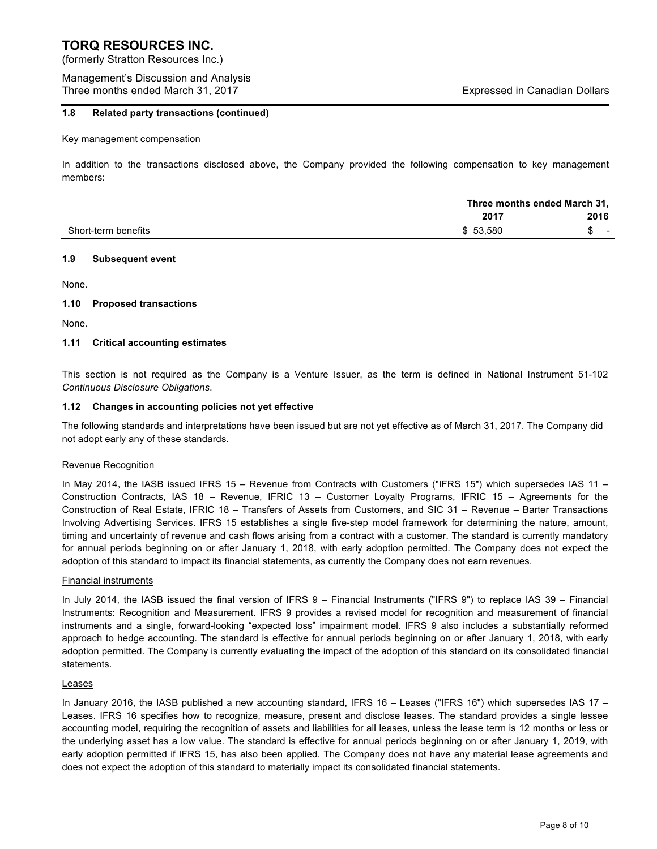(formerly Stratton Resources Inc.)

Management's Discussion and Analysis Three months ended March 31, 2017 **Expressed in Canadian Dollars** Expressed in Canadian Dollars

# **1.8 Related party transactions (continued)**

#### Key management compensation

In addition to the transactions disclosed above, the Company provided the following compensation to key management members:

|                     | Three months ended March 31, |      |
|---------------------|------------------------------|------|
|                     | 2017                         | 2016 |
| Short-term benefits | \$53,580                     | -    |

#### **1.9 Subsequent event**

None.

# **1.10 Proposed transactions**

None.

# **1.11 Critical accounting estimates**

This section is not required as the Company is a Venture Issuer, as the term is defined in National Instrument 51-102 *Continuous Disclosure Obligations*.

#### **1.12 Changes in accounting policies not yet effective**

The following standards and interpretations have been issued but are not yet effective as of March 31, 2017. The Company did not adopt early any of these standards.

# Revenue Recognition

In May 2014, the IASB issued IFRS 15 – Revenue from Contracts with Customers ("IFRS 15") which supersedes IAS 11 – Construction Contracts, IAS 18 – Revenue, IFRIC 13 – Customer Loyalty Programs, IFRIC 15 – Agreements for the Construction of Real Estate, IFRIC 18 – Transfers of Assets from Customers, and SIC 31 – Revenue – Barter Transactions Involving Advertising Services. IFRS 15 establishes a single five-step model framework for determining the nature, amount, timing and uncertainty of revenue and cash flows arising from a contract with a customer. The standard is currently mandatory for annual periods beginning on or after January 1, 2018, with early adoption permitted. The Company does not expect the adoption of this standard to impact its financial statements, as currently the Company does not earn revenues.

# Financial instruments

In July 2014, the IASB issued the final version of IFRS 9 – Financial Instruments ("IFRS 9") to replace IAS 39 – Financial Instruments: Recognition and Measurement. IFRS 9 provides a revised model for recognition and measurement of financial instruments and a single, forward-looking "expected loss" impairment model. IFRS 9 also includes a substantially reformed approach to hedge accounting. The standard is effective for annual periods beginning on or after January 1, 2018, with early adoption permitted. The Company is currently evaluating the impact of the adoption of this standard on its consolidated financial statements.

# Leases

In January 2016, the IASB published a new accounting standard, IFRS 16 – Leases ("IFRS 16") which supersedes IAS 17 – Leases. IFRS 16 specifies how to recognize, measure, present and disclose leases. The standard provides a single lessee accounting model, requiring the recognition of assets and liabilities for all leases, unless the lease term is 12 months or less or the underlying asset has a low value. The standard is effective for annual periods beginning on or after January 1, 2019, with early adoption permitted if IFRS 15, has also been applied. The Company does not have any material lease agreements and does not expect the adoption of this standard to materially impact its consolidated financial statements.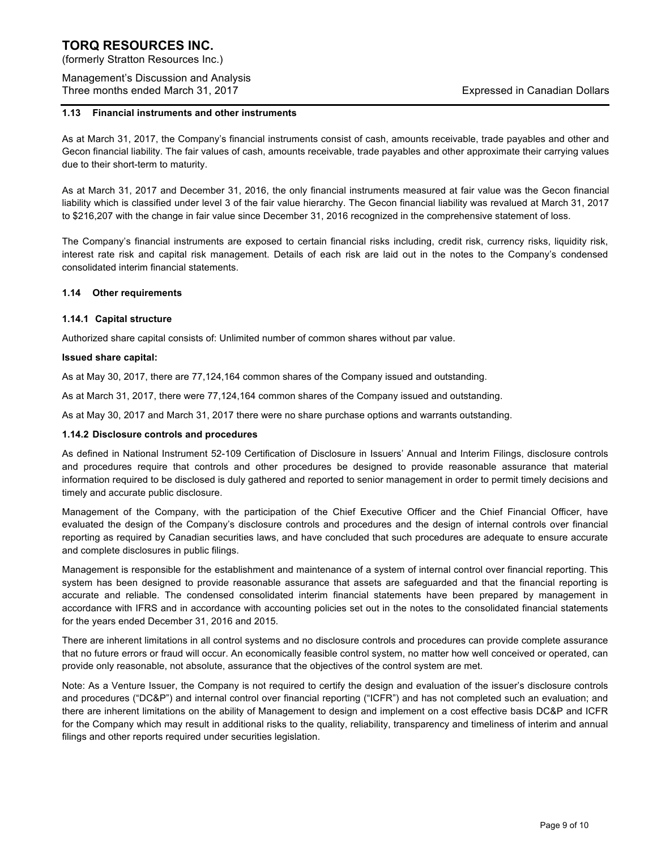(formerly Stratton Resources Inc.)

Management's Discussion and Analysis Three months ended March 31, 2017 **Expressed in Canadian Dollars** Expressed in Canadian Dollars

### **1.13 Financial instruments and other instruments**

As at March 31, 2017, the Company's financial instruments consist of cash, amounts receivable, trade payables and other and Gecon financial liability. The fair values of cash, amounts receivable, trade payables and other approximate their carrying values due to their short-term to maturity.

As at March 31, 2017 and December 31, 2016, the only financial instruments measured at fair value was the Gecon financial liability which is classified under level 3 of the fair value hierarchy. The Gecon financial liability was revalued at March 31, 2017 to \$216,207 with the change in fair value since December 31, 2016 recognized in the comprehensive statement of loss.

The Company's financial instruments are exposed to certain financial risks including, credit risk, currency risks, liquidity risk, interest rate risk and capital risk management. Details of each risk are laid out in the notes to the Company's condensed consolidated interim financial statements.

#### **1.14 Other requirements**

#### **1.14.1 Capital structure**

Authorized share capital consists of: Unlimited number of common shares without par value.

#### **Issued share capital:**

As at May 30, 2017, there are 77,124,164 common shares of the Company issued and outstanding.

As at March 31, 2017, there were 77,124,164 common shares of the Company issued and outstanding.

As at May 30, 2017 and March 31, 2017 there were no share purchase options and warrants outstanding.

#### **1.14.2 Disclosure controls and procedures**

As defined in National Instrument 52-109 Certification of Disclosure in Issuers' Annual and Interim Filings, disclosure controls and procedures require that controls and other procedures be designed to provide reasonable assurance that material information required to be disclosed is duly gathered and reported to senior management in order to permit timely decisions and timely and accurate public disclosure.

Management of the Company, with the participation of the Chief Executive Officer and the Chief Financial Officer, have evaluated the design of the Company's disclosure controls and procedures and the design of internal controls over financial reporting as required by Canadian securities laws, and have concluded that such procedures are adequate to ensure accurate and complete disclosures in public filings.

Management is responsible for the establishment and maintenance of a system of internal control over financial reporting. This system has been designed to provide reasonable assurance that assets are safeguarded and that the financial reporting is accurate and reliable. The condensed consolidated interim financial statements have been prepared by management in accordance with IFRS and in accordance with accounting policies set out in the notes to the consolidated financial statements for the years ended December 31, 2016 and 2015.

There are inherent limitations in all control systems and no disclosure controls and procedures can provide complete assurance that no future errors or fraud will occur. An economically feasible control system, no matter how well conceived or operated, can provide only reasonable, not absolute, assurance that the objectives of the control system are met.

Note: As a Venture Issuer, the Company is not required to certify the design and evaluation of the issuer's disclosure controls and procedures ("DC&P") and internal control over financial reporting ("ICFR") and has not completed such an evaluation; and there are inherent limitations on the ability of Management to design and implement on a cost effective basis DC&P and ICFR for the Company which may result in additional risks to the quality, reliability, transparency and timeliness of interim and annual filings and other reports required under securities legislation.